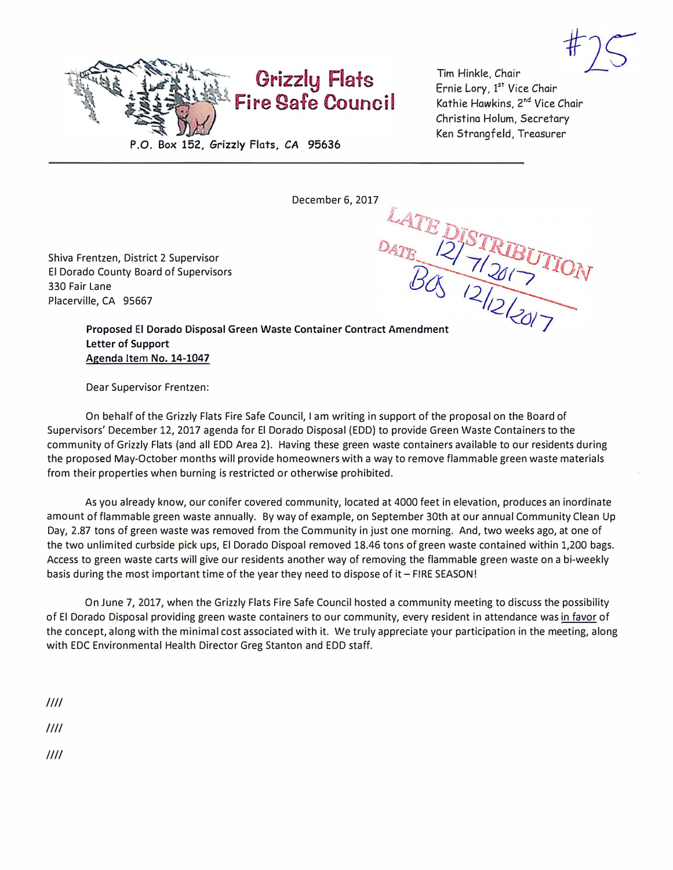

Tim Hinkle. Chair Ernie Lory, 1<sup>st</sup> Vice Chair Kathie Hawkins, **<sup>z</sup> nd** Vice Chair Christina Hoium, Secretary Ken Strangfeld, Treasurer

Shiva Frentzen, District 2 Supervisor El Dorado County Board of Supervisors 330 Fair Lane Placerville, CA 95667

December 6, 2017<br>DATE DISTRIBUTION<br>DATE 12/3 TRIBUTION **Proposed** El **Dorado Disposal** Green **Waste** Container Contract Amendment **Letter of Support Agenda** Item **No. 14-1047** 

Dear Supervisor Frentzen:

On behalf of the Grizzly Flats Fire Safe Council, I am writing in support of the proposal on the Board of Supervisors' December 12, 2017 agenda for El Dorado Disposal (EDD) to provide Green Waste Containers to the community of Grizzly Flats (and all EDD Area 2). Having these green waste containers available to our residents during the proposed May-October months will provide homeowners with a way to remove flammable green waste materials from their properties when burning is restricted or otherwise prohibited.

As you already know, our conifer covered community, located at 4000 feet in elevation, produces an inordinate amount of flammable green waste annually. By way of example, on September 30th at our annual Community Clean Up Day, 2.87 tons of green waste was removed from the Community in just one morning. And, two weeks ago, at one of the two unlimited curbside pick ups, El Dorado Dispoal removed 18.46 tons of green waste contained within 1,200 bags. Access to green waste carts will give our residents another way of removing the flammable green waste on a bi-weekly basis during the most important time of the year they need to dispose of it - FIRE SEASON!

On June 7, 2017, when the Grizzly Flats Fire Safe Council hosted a community meeting to discuss the possibility of El Dorado Disposal providing green waste containers to our community, every resident in attendance was in favor of the concept, along with the minimal cost associated with it. We truly appreciate your participation in the meeting, along with EDC Environmental Health Director Greg Stanton and EDD staff.

*/Ill* 

*/Ill* 

*Ill/*